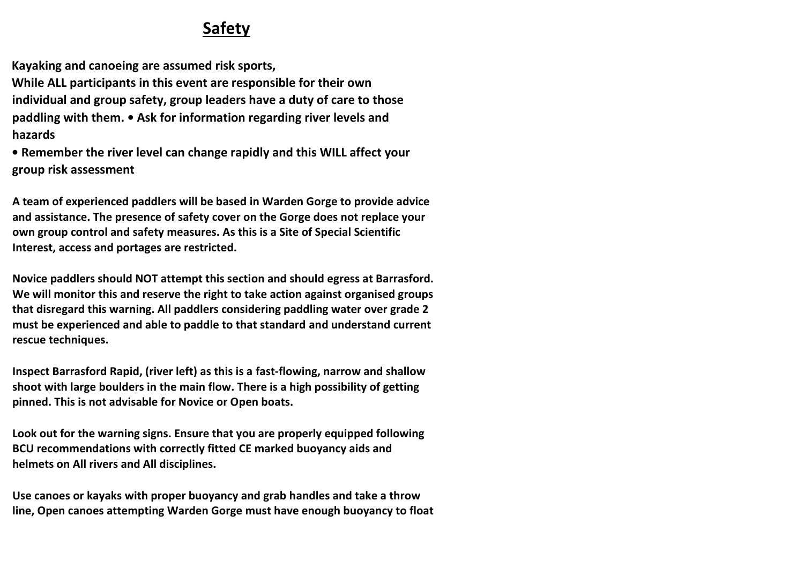## **Safety**

**Kayaking and canoeing are assumed risk sports,** 

**While ALL participants in this event are responsible for their own individual and group safety, group leaders have a duty of care to those paddling with them. • Ask for information regarding river levels and hazards** 

**• Remember the river level can change rapidly and this WILL affect your group risk assessment** 

**A team of experienced paddlers will be based in Warden Gorge to provide advice and assistance. The presence of safety cover on the Gorge does not replace your own group control and safety measures. As this is a Site of Special Scientific Interest, access and portages are restricted.** 

**Novice paddlers should NOT attempt this section and should egress at Barrasford. We will monitor this and reserve the right to take action against organised groups that disregard this warning. All paddlers considering paddling water over grade 2 must be experienced and able to paddle to that standard and understand current rescue techniques.** 

**Inspect Barrasford Rapid, (river left) as this is a fast-flowing, narrow and shallow shoot with large boulders in the main flow. There is a high possibility of getting pinned. This is not advisable for Novice or Open boats.** 

**Look out for the warning signs. Ensure that you are properly equipped following BCU recommendations with correctly fitted CE marked buoyancy aids and helmets on All rivers and All disciplines.** 

**Use canoes or kayaks with proper buoyancy and grab handles and take a throw line, Open canoes attempting Warden Gorge must have enough buoyancy to float**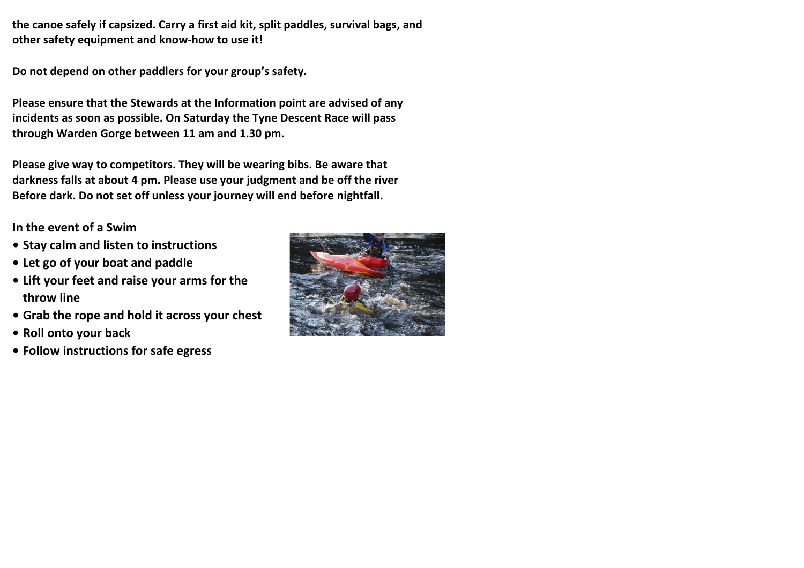**the canoe safely if capsized. Carry a first aid kit, split paddles, survival bags, and other safety equipment and know-how to use it!** 

**Do not depend on other paddlers for your group's safety.** 

**Please ensure that the Stewards at the Information point are advised of any incidents as soon as possible. On Saturday the Tyne Descent Race will pass through Warden Gorge between 11 am and 1.30 pm.** 

**Please give way to competitors. They will be wearing bibs. Be aware that darkness falls at about 4 pm. Please use your judgment and be off the river Before dark. Do not set off unless your journey will end before nightfall.** 

## **In the event of a Swim**

- **• Stay calm and listen to instructions**
- **• Let go of your boat and paddle**
- **• Lift your feet and raise your arms for the throw line**
- **• Grab the rope and hold it across your chest**
- **• Roll onto your back**
- **• Follow instructions for safe egress**